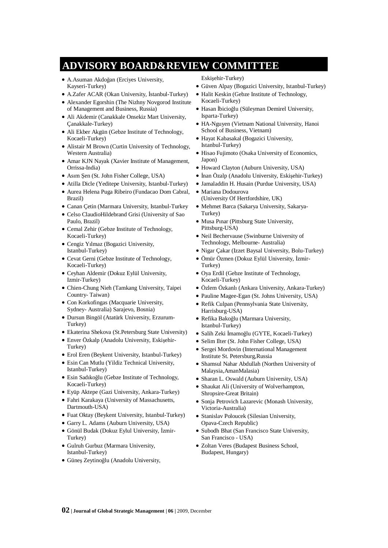## **ADVISORY BOARD&REVIEW COMMITTEE**

- A.Asuman Akdoğan (Erciyes University, Kayseri-Turkey)
- A.Zafer ACAR (Okan University, İstanbul-Turkey)
- Alexander Egorshin (The Nizhny Novgorod Institute of Management and Business, Russia)
- xAli Akdemir (Canakkale Onsekiz Mart University, Çanakkale-Turkey)
- Ali Ekber Akgün (Gebze Institute of Technology, Kocaeli-Turkey)
- Alistair M Brown (Curtin University of Technology, Western Australia)
- Amar KJN Nayak (Xavier Institute of Management, Orrissa-India)
- Asım Sen (St. John Fisher College, USA)
- Atilla Dicle (Yeditepe University, Istanbul-Turkey)
- $\bullet$  Aurea Helena Puga Ribeiro (Fundacao Dom Cabral, Brazil)
- Canan Cetin (Marmara University, Istanbul-Turkey
- Celso ClaudioHildebrand Grisi (University of Sao Paulo, Brazil)
- Cemal Zehir (Gebze Institute of Technology, Kocaeli-Turkey)
- Cengiz Yılmaz (Bogazici University, Istanbul-Turkey)
- Cevat Gerni (Gebze Institute of Technology, Kocaeli-Turkey)
- Ceyhan Aldemir (Dokuz Eylül University, Izmir-Turkey)
- xChien-Chung Nieh (Tamkang University, Taipei Country- Taiwan)
- $\bullet$  Con Korkofingas (Macquarie University, Sydney- Australia) Sarajevo, Bosnia)
- $\bullet$  Dursun Bingöl (Atatürk University, Erzurum-Turkey)
- Ekaterina Shekova (St.Petersburg State University)
- Enver Özkalp (Anadolu University, Eskisehir-Turkey)
- Erol Eren (Beykent University, Istanbul-Turkey)
- Esin Can Mutlu (Yildiz Technical University, Istanbul-Turkey)
- Esin Sadıkoğlu (Gebze Institute of Technology, Kocaeli-Turkey)
- xEyüp Aktepe (Gazi University, Ankara-Turkey)
- Fahri Karakaya (University of Massachusetts, Dartmouth-USA)
- Fuat Oktay (Beykent University, Istanbul-Turkey)
- Garry L. Adams (Auburn University, USA)
- · Gönül Budak (Dokuz Eylul University, İzmir-Turkey)
- Gulruh Gurbuz (Marmara University, Istanbul-Turkey)
- Günes Zeytinoğlu (Anadolu University,
- Eskişehir-Turkey)
- xGüven Alpay (Bogazici University, Istanbul-Turkey)
- $\bullet$  Halit Keskin (Gebze Institute of Technology, Kocaeli-Turkey)
- Hasan İbicioğlu (Süleyman Demirel University, Isparta-Turkey)
- HA-Nguyen (Vietnam National University, Hanoi School of Business, Vietnam)
- · Hayat Kabasakal (Bogazici University, Istanbul-Turkey)
- $\bullet$  Hisao Fujimoto (Osaka University of Economics, Japon)
- $\bullet$  Howard Clayton (Auburn University, USA)
- İnan Özalp (Anadolu University, Eskisehir-Turkey)
- Jamaladdin H. Husain (Purdue University, USA)
- xMariana Dodourova (University Of Hertfordshire, UK)
- Mehmet Barca (Sakarya University, Sakarya-Turkey)
- Musa Pinar (Pittsburg State University, Pittsburg-USA)
- Neil Bechervause (Swinburne University of Technology, Melbourne- Australia)
- · Nigar Çakar (Izzet Baysal University, Bolu-Turkey)
- · Ömür Özmen (Dokuz Eylül University, İzmir-Turkey)
- Oya Erdil (Gebze Institute of Technology, Kocaeli-Turkey)
- · Özlem Özkanlı (Ankara University, Ankara-Turkey)
- Pauline Magee-Egan (St. Johns University, USA)
- Refik Culpan (Pennsylvania State University, Harrisburg-USA)
- Refika Bakoğlu (Marmara University, Istanbul-Turkey)
- Salih Zeki İmamoğlu (GYTE, Kocaeli-Turkey)
- Selim Ilter (St. John Fisher College, USA)
- Sergei Mordovin (International Management Institute St. Petersburg,Russia
- xShamsul Nahar Abdullah (Northen University of Malaysia,AmanMalasia)
- Sharan L. Oswald (Auburn University, USA)
- Shaukat Ali (University of Wolverhampton, Shropsire-Great Britain)
- Sonja Petrovich Lazarevic (Monash University, Victoria-Australia)
- Stanislav Poloucek (Silesian University, Opava-Czech Republic)
- Subodh Bhat (San Francisco State University, San Francisco - USA)
- Zoltan Veres (Budapest Business School, Budapest, Hungary)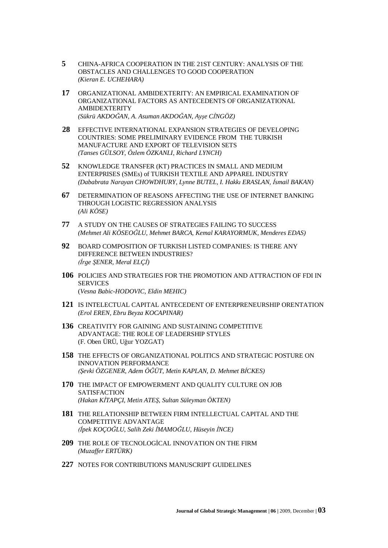- 5 CHINA-AFRICA COOPERATION IN THE 21ST CENTURY: ANALYSIS OF THE OBSTACLES AND CHALLENGES TO GOOD COOPERATION (Kieran E. UCHEHARA)
- 17 ORGANIZATIONAL AMBIDEXTERITY: AN EMPIRICAL EXAMINATION OF ORGANIZATIONAL FACTORS AS ANTECEDENTS OF ORGANIZATIONAL **AMBIDEXTERITY** (Sükrü AKDOĞAN, A. Asuman AKDOĞAN, Ayşe CİNGÖZ)
- 28 EFFECTIVE INTERNATIONAL EXPANSION STRATEGIES OF DEVELOPING COUNTRIES: SOME PRELIMINARY EVIDENCE FROM THE TURKISH MANUFACTURE AND EXPORT OF TELEVISION SETS (Tanses GÜLSOY, Özlem ÖZKANLI, Richard LYNCH)
- 52 KNOWLEDGE TRANSFER (KT) PRACTICES IN SMALL AND MEDIUM ENTERPRISES (SMEs) of TURKISH TEXTILE AND APPAREL INDUSTRY (Dababrata Narayan CHOWDHURY, Lynne BUTEL, I. Hakkı ERASLAN, İsmail BAKAN)
- DETERMINATION OF REASONS AFFECTING THE USE OF INTERNET BANKING 67 THROUGH LOGISTIC REGRESSION ANALYSIS  $(Ali KÖSE)$
- 77 A STUDY ON THE CAUSES OF STRATEGIES FAILING TO SUCCESS (Mehmet Ali KÖSEOĞLU, Mehmet BARCA, Kemal KARAYORMUK, Menderes EDAS)
- 92 BOARD COMPOSITION OF TURKISH LISTED COMPANIES: IS THERE ANY DIFFERENCE BETWEEN INDUSTRIES? (İrge ŞENER, Meral ELÇİ)
- 106 POLICIES AND STRATEGIES FOR THE PROMOTION AND ATTRACTION OF FDI IN **SERVICES** (Vesna Babic-HODOVIC, Eldin MEHIC)
- 121 IS INTELECTUAL CAPITAL ANTECEDENT OF ENTERPRENEURSHIP ORENTATION (Erol EREN, Ebru Beyza KOCAPINAR)
- 136 CREATIVITY FOR GAINING AND SUSTAINING COMPETITIVE ADVANTAGE: THE ROLE OF LEADERSHIP STYLES (F. Oben ÜRÜ, Uğur YOZGAT)
- 158 THE EFFECTS OF ORGANIZATIONAL POLITICS AND STRATEGIC POSTURE ON **INNOVATION PERFORMANCE** (Sevki ÖZGENER, Adem ÖĞÜT, Metin KAPLAN, D. Mehmet BİCKES)
- 170 THE IMPACT OF EMPOWERMENT AND QUALITY CULTURE ON JOB **SATISFACTION** (Hakan KİTAPÇI, Metin ATES, Sultan Süleyman ÖKTEN)
- 181 THE RELATIONSHIP BETWEEN FIRM INTELLECTUAL CAPITAL AND THE **COMPETITIVE ADVANTAGE** (İpek KOCOĞLU, Salih Zeki İMAMOĞLU, Hüsevin İNCE)
- 209 THE ROLE OF TECNOLOGICAL INNOVATION ON THE FIRM (Muzaffer ERTÜRK)
- 227 NOTES FOR CONTRIBUTIONS MANUSCRIPT GUIDELINES